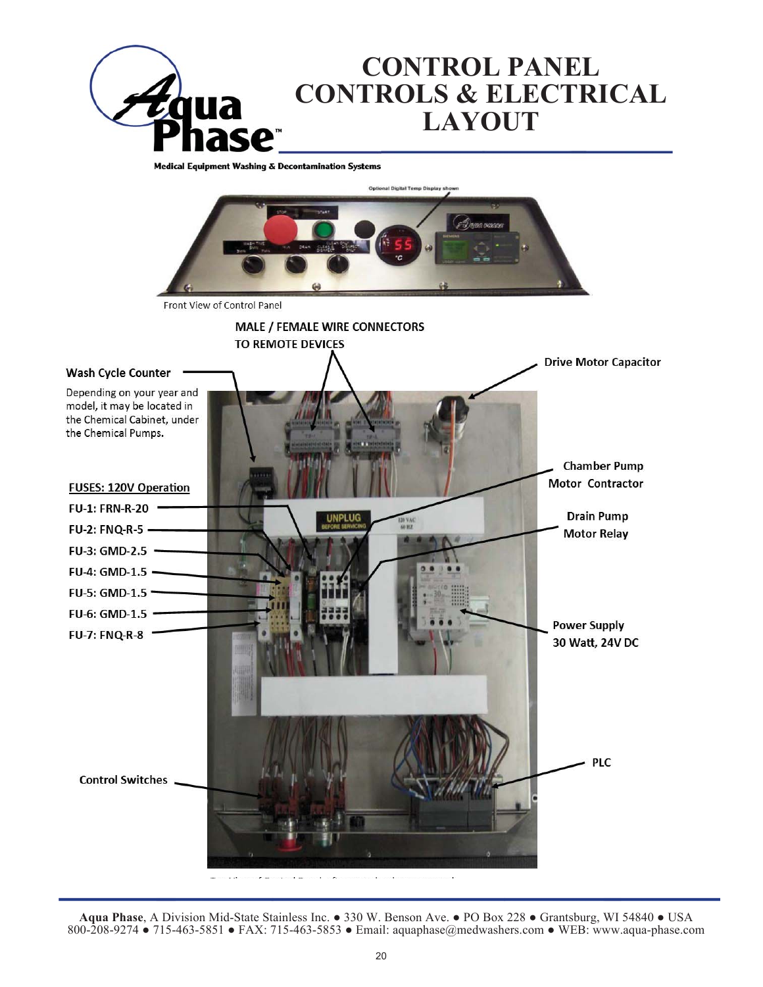

**Medical Equipment Washing & Decontamination Systems** Front View of Control Panel **MALE / FEMALE WIRE CONNECTORS** TO REMOTE DEVICES **Drive Motor Capacitor Wash Cycle Counter** Depending on your year and model, it may be located in the Chemical Cabinet, under the Chemical Pumps. **Chamber Pump Motor Contractor FUSES: 120V Operation FU-1: FRN-R-20 Drain Pump** FU-2: FNQ-R-5 -**Motor Relay** FU-3: GMD-2.5 -FU-4: GMD-1.5 -FU-5: GMD-1.5 -FU-6: GMD-1.5 -**Power Supply FU-7: FNQ-R-8** 30 Watt, 24V DC **PLC Control Switches** 

Aqua Phase, A Division Mid-State Stainless Inc. • 330 W. Benson Ave. • PO Box 228 • Grantsburg, WI 54840 • USA 800-208-9274 • 715-463-5851 • FAX: 715-463-5853 • Email: aquaphase@medwashers.com • WEB: www.aqua-phase.com